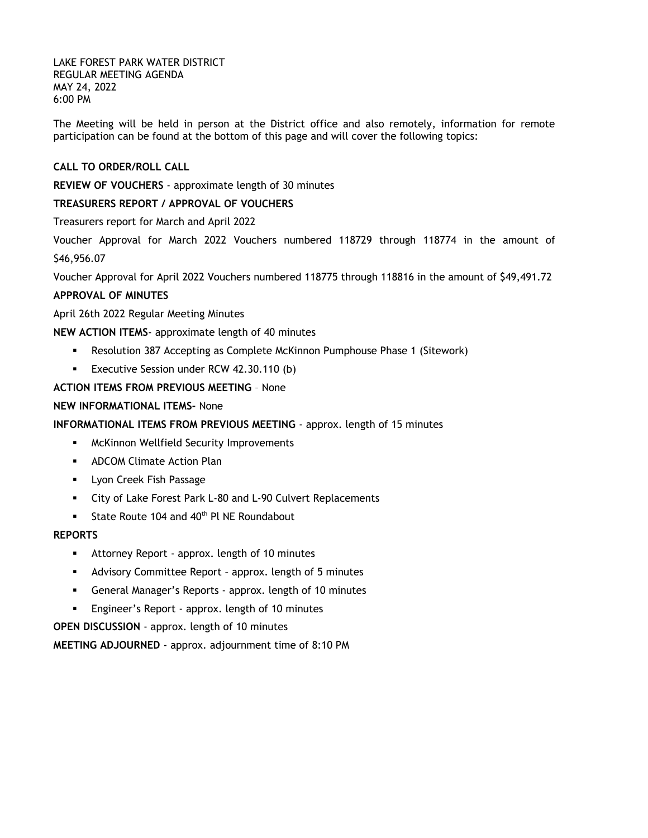LAKE FOREST PARK WATER DISTRICT REGULAR MEETING AGENDA MAY 24, 2022 6:00 PM

The Meeting will be held in person at the District office and also remotely, information for remote participation can be found at the bottom of this page and will cover the following topics:

# **CALL TO ORDER/ROLL CALL**

**REVIEW OF VOUCHERS** - approximate length of 30 minutes

## **TREASURERS REPORT / APPROVAL OF VOUCHERS**

Treasurers report for March and April 2022

Voucher Approval for March 2022 Vouchers numbered 118729 through 118774 in the amount of \$46,956.07

Voucher Approval for April 2022 Vouchers numbered 118775 through 118816 in the amount of \$49,491.72

### **APPROVAL OF MINUTES**

April 26th 2022 Regular Meeting Minutes

**NEW ACTION ITEMS**- approximate length of 40 minutes

- Resolution 387 Accepting as Complete McKinnon Pumphouse Phase 1 (Sitework)
- **Executive Session under RCW 42.30.110 (b)**

**ACTION ITEMS FROM PREVIOUS MEETING** – None

### **NEW INFORMATIONAL ITEMS-** None

**INFORMATIONAL ITEMS FROM PREVIOUS MEETING** - approx. length of 15 minutes

- **EXECUTE:** McKinnon Wellfield Security Improvements
- **ADCOM Climate Action Plan**
- **EXECT:** Lyon Creek Fish Passage
- City of Lake Forest Park L-80 and L-90 Culvert Replacements
- State Route 104 and  $40<sup>th</sup>$  Pl NE Roundabout

#### **REPORTS**

- Attorney Report approx. length of 10 minutes
- Advisory Committee Report approx. length of 5 minutes
- General Manager's Reports approx. length of 10 minutes
- **Engineer's Report approx. length of 10 minutes**

**OPEN DISCUSSION** - approx. length of 10 minutes

**MEETING ADJOURNED** - approx. adjournment time of 8:10 PM